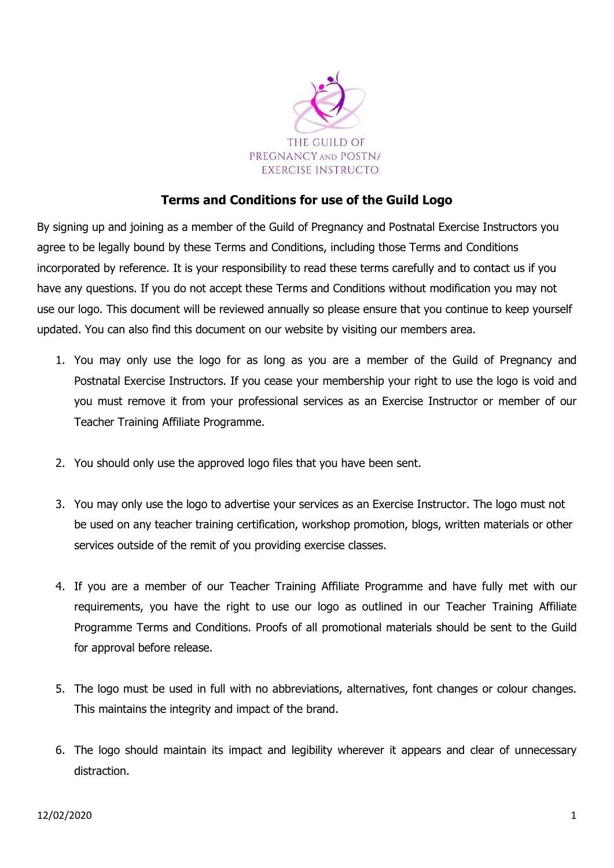

## Terms and Conditions for use of the Guild Logo

By signing up and joining as a member of the Guild of Pregnancy and Postnatal Exercise Instructors you agree to be legally bound by these Terms and Conditions, including those Terms and Conditions incorporated by reference. It is your responsibility to read these terms carefully and to contact us if you have any questions. If you do not accept these Terms and Conditions without modification you may not use our logo. This document will be reviewed annually so please ensure that you continue to keep yourself updated. You can also find this document on our website by visiting our members area.

- 1. You may only use the logo for as long as you are a member of the Guild of Pregnancy and Postnatal Exercise Instructors. If you cease your membership your right to use the logo is void and you must remove it from your professional services as an Exercise Instructor or member of our Teacher Training Affiliate Programme.
- 2. You should only use the approved logo files that you have been sent.
- 3. You may only use the logo to advertise your services as an Exercise Instructor. The logo must not be used on any teacher training certification, workshop promotion, blogs, written materials or other services outside of the remit of you providing exercise classes.
- 4. If you are a member of our Teacher Training Affiliate Programme and have fully met with our requirements, you have the right to use our logo as outlined in our Teacher Training Affiliate Programme Terms and Conditions. Proofs of all promotional materials should be sent to the Guild for approval before release.
- 5. The logo must be used in full with no abbreviations, alternatives, font changes or colour changes. This maintains the integrity and impact of the brand.
- 6. The logo should maintain its impact and legibility wherever it appears and clear of unnecessary distraction.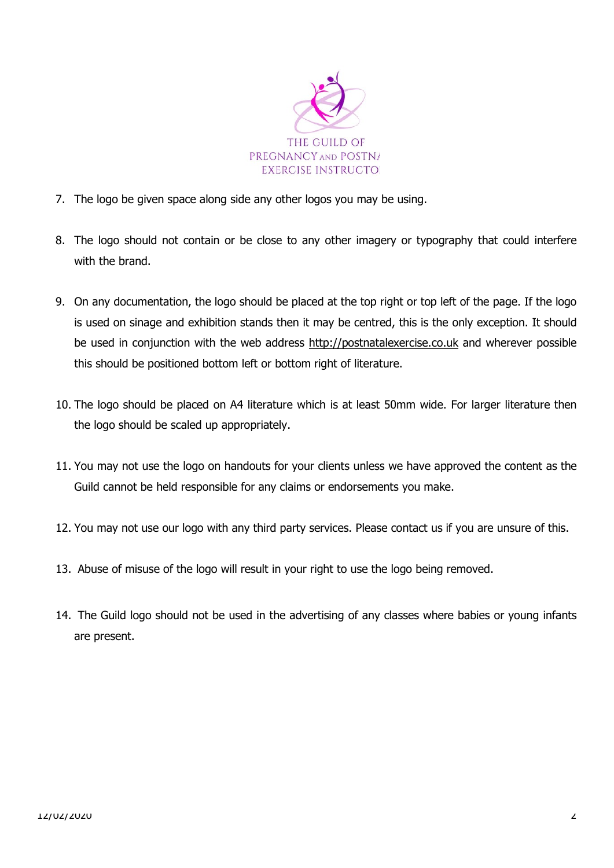

- 7. The logo be given space along side any other logos you may be using.
- 8. The logo should not contain or be close to any other imagery or typography that could interfere with the brand.
- 9. On any documentation, the logo should be placed at the top right or top left of the page. If the logo is used on sinage and exhibition stands then it may be centred, this is the only exception. It should be used in conjunction with the web address http://postnatalexercise.co.uk and wherever possible this should be positioned bottom left or bottom right of literature.
- 10. The logo should be placed on A4 literature which is at least 50mm wide. For larger literature then the logo should be scaled up appropriately.
- 11. You may not use the logo on handouts for your clients unless we have approved the content as the Guild cannot be held responsible for any claims or endorsements you make.
- 12. You may not use our logo with any third party services. Please contact us if you are unsure of this.
- 13. Abuse of misuse of the logo will result in your right to use the logo being removed.
- 14. The Guild logo should not be used in the advertising of any classes where babies or young infants are present.